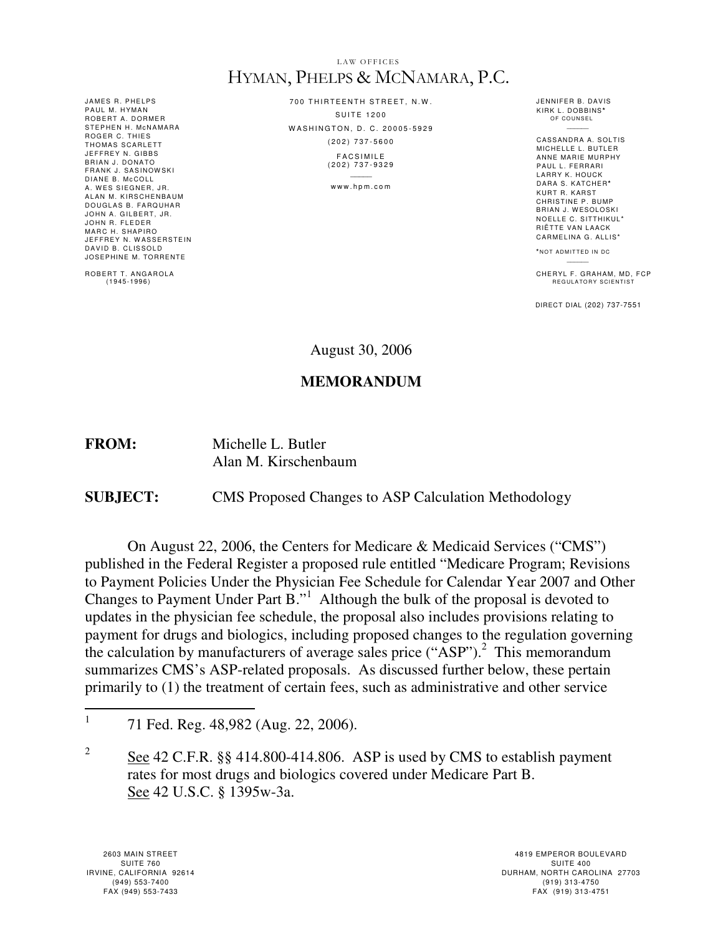#### LAW OFFICES HYMAN, PHELPS & MCNAMARA, P.C.

JAMES R. PHELPS PAUL M. HYMAN ROBERT A. DORMER STEPHEN H. MCNAMARA ROGER C. THIES<br>THOMAS SCARLETT JEFFREY N. GIBBS BRIAN J. DONATO FRANK J. SASINOWSKI<br>DIANE B. McCOLL A. WES SIEGNER, JR. ALAN M. KIRSCHENBAUM DOUGLAS B. FARQUHAR JOHN A. GILBERT, JR. JOHN R. FLEDER MARC H. SHAPIRO JEFFREY N. WASSERSTEIN DAVID B. CLISSOLD<br>JOSEPHINE M. TORRENTE

ROBERT T. ANGAROLA  $(1945 - 1996)$ 

700 THIRTEENTH STREET, N.W. **SUITE 1200** WASHINGTON, D. C. 20005-5929 ( 2 0 2 ) 7 3 7 - 5 6 0 0 **FACSIMILE** 

( 2 0 2 ) 7 3 7 - 9 3 2 9  $\mathcal{L}$ 

www.hpm.com

JENNIFER B. DAVIS KIRK L . DOBBINS**\*** OF COUNSE  $\overline{a}$ 

CASSANDRA A. SOLTIS MICHELLE L. BUTLER ANNE MARIE MURPHY PAUL L. FERRARI LARRY K. HOUCK DARA S. KATCHER**\*** KURT R. KARST CHRISTINE P. BUMP BRIAN J. WESOLOSKI NOELLE C. SITTHIKUL\* RIËTTE VAN L AACK CARMELINA G. ALLIS\*

**\*** N O T A D M I T T E D I N DC

CHERYL F. GRAHAM, MD, FCP<br>REGULATORY SCIENTIST

DIRECT DIAL (202) 737-7551

August 30, 2006

### **MEMORANDUM**

**FROM:** Michelle L. Butler Alan M. Kirschenbaum

**SUBJECT:** CMS Proposed Changes to ASP Calculation Methodology

On August 22, 2006, the Centers for Medicare & Medicaid Services ("CMS") published in the Federal Register a proposed rule entitled "Medicare Program; Revisions to Payment Policies Under the Physician Fee Schedule for Calendar Year 2007 and Other Changes to Payment Under Part  $B.^{1}$ . Although the bulk of the proposal is devoted to updates in the physician fee schedule, the proposal also includes provisions relating to payment for drugs and biologics, including proposed changes to the regulation governing the calculation by manufacturers of average sales price ("ASP").<sup>2</sup> This memorandum summarizes CMS's ASP-related proposals. As discussed further below, these pertain primarily to (1) the treatment of certain fees, such as administrative and other service

 $\frac{1}{1}$ 71 Fed. Reg. 48,982 (Aug. 22, 2006).

<sup>2</sup> See 42 C.F.R. §§ 414.800-414.806. ASP is used by CMS to establish payment rates for most drugs and biologics covered under Medicare Part B. See 42 U.S.C. § 1395w-3a.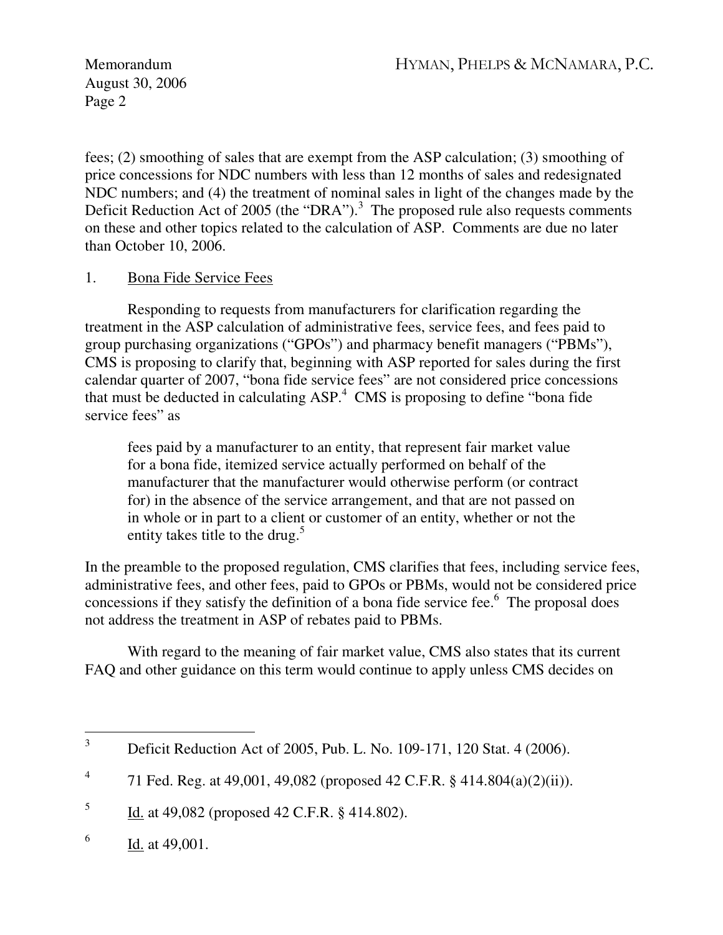fees; (2) smoothing of sales that are exempt from the ASP calculation; (3) smoothing of price concessions for NDC numbers with less than 12 months of sales and redesignated NDC numbers; and (4) the treatment of nominal sales in light of the changes made by the Deficit Reduction Act of 2005 (the "DRA").<sup>3</sup> The proposed rule also requests comments on these and other topics related to the calculation of ASP. Comments are due no later than October 10, 2006.

# 1. Bona Fide Service Fees

Responding to requests from manufacturers for clarification regarding the treatment in the ASP calculation of administrative fees, service fees, and fees paid to group purchasing organizations ("GPOs") and pharmacy benefit managers ("PBMs"), CMS is proposing to clarify that, beginning with ASP reported for sales during the first calendar quarter of 2007, "bona fide service fees" are not considered price concessions that must be deducted in calculating  $ASP^4$  CMS is proposing to define "bona fide service fees" as

fees paid by a manufacturer to an entity, that represent fair market value for a bona fide, itemized service actually performed on behalf of the manufacturer that the manufacturer would otherwise perform (or contract for) in the absence of the service arrangement, and that are not passed on in whole or in part to a client or customer of an entity, whether or not the entity takes title to the drug.<sup>5</sup>

In the preamble to the proposed regulation, CMS clarifies that fees, including service fees, administrative fees, and other fees, paid to GPOs or PBMs, would not be considered price concessions if they satisfy the definition of a bona fide service fee. $6$  The proposal does not address the treatment in ASP of rebates paid to PBMs.

With regard to the meaning of fair market value, CMS also states that its current FAO and other guidance on this term would continue to apply unless CMS decides on

5 Id. at 49,082 (proposed 42 C.F.R. § 414.802).

 3 Deficit Reduction Act of 2005, Pub. L. No. 109-171, 120 Stat. 4 (2006).

<sup>4</sup> 71 Fed. Reg. at 49,001, 49,082 (proposed 42 C.F.R. § 414.804(a)(2)(ii)).

<sup>6</sup> Id. at 49,001.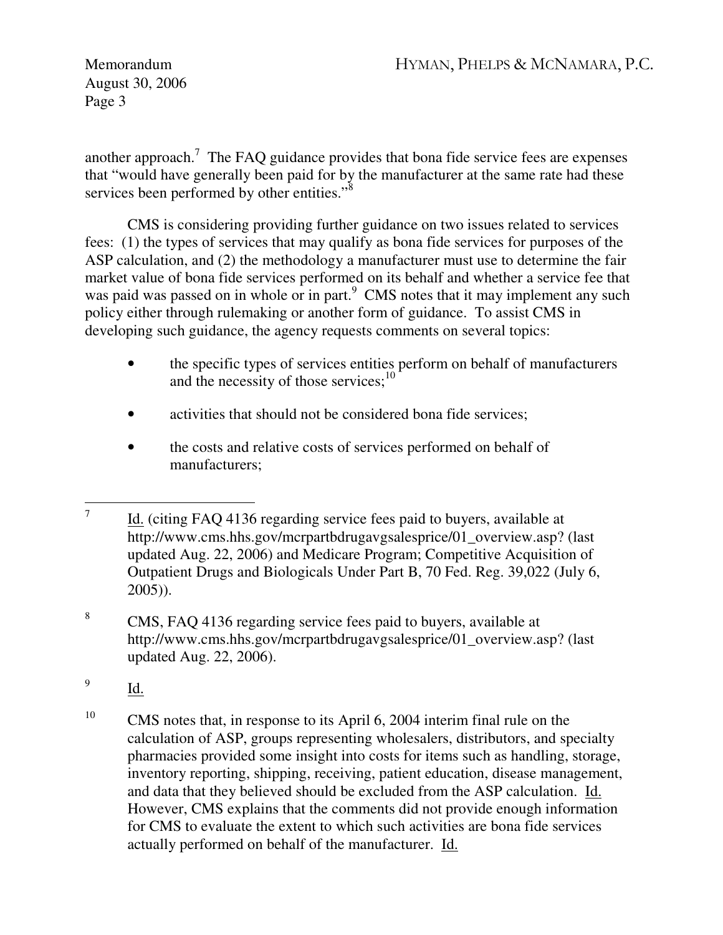another approach.<sup>7</sup> The FAQ guidance provides that bona fide service fees are expenses that "would have generally been paid for by the manufacturer at the same rate had these services been performed by other entities."<sup>8</sup>

CMS is considering providing further guidance on two issues related to services fees: (1) the types of services that may qualify as bona fide services for purposes of the ASP calculation, and (2) the methodology a manufacturer must use to determine the fair market value of bona fide services performed on its behalf and whether a service fee that was paid was passed on in whole or in part.<sup>9</sup> CMS notes that it may implement any such policy either through rulemaking or another form of guidance. To assist CMS in developing such guidance, the agency requests comments on several topics:

- the specific types of services entities perform on behalf of manufacturers and the necessity of those services; $^{10}$
- activities that should not be considered bona fide services;
- the costs and relative costs of services performed on behalf of manufacturers;

- 9 Id.
- <sup>10</sup> CMS notes that, in response to its April 6, 2004 interim final rule on the calculation of ASP, groups representing wholesalers, distributors, and specialty pharmacies provided some insight into costs for items such as handling, storage, inventory reporting, shipping, receiving, patient education, disease management, and data that they believed should be excluded from the ASP calculation. Id. However, CMS explains that the comments did not provide enough information for CMS to evaluate the extent to which such activities are bona fide services actually performed on behalf of the manufacturer. Id.

 7 Id. (citing FAQ 4136 regarding service fees paid to buyers, available at http://www.cms.hhs.gov/mcrpartbdrugavgsalesprice/01\_overview.asp? (last updated Aug. 22, 2006) and Medicare Program; Competitive Acquisition of Outpatient Drugs and Biologicals Under Part B, 70 Fed. Reg. 39,022 (July 6, 2005)).

<sup>8</sup> CMS, FAQ 4136 regarding service fees paid to buyers, available at http://www.cms.hhs.gov/mcrpartbdrugavgsalesprice/01\_overview.asp? (last updated Aug. 22, 2006).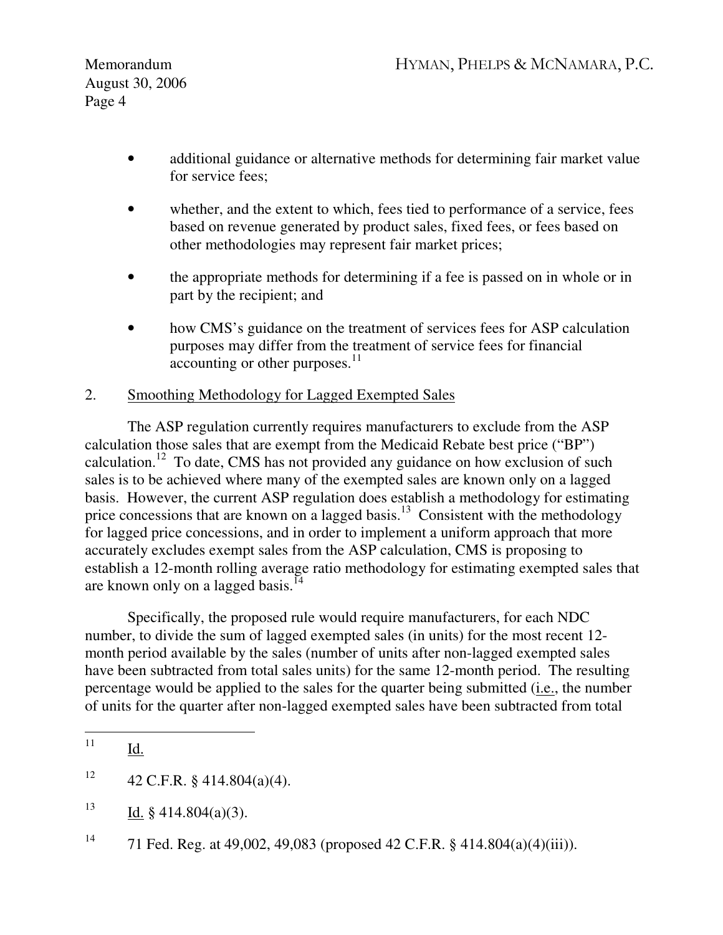- additional guidance or alternative methods for determining fair market value for service fees;
- whether, and the extent to which, fees tied to performance of a service, fees based on revenue generated by product sales, fixed fees, or fees based on other methodologies may represent fair market prices;
- the appropriate methods for determining if a fee is passed on in whole or in part by the recipient; and
- how CMS's guidance on the treatment of services fees for ASP calculation purposes may differ from the treatment of service fees for financial accounting or other purposes.<sup>11</sup>

# 2. Smoothing Methodology for Lagged Exempted Sales

The ASP regulation currently requires manufacturers to exclude from the ASP calculation those sales that are exempt from the Medicaid Rebate best price ("BP") calculation.<sup>12</sup> To date, CMS has not provided any guidance on how exclusion of such sales is to be achieved where many of the exempted sales are known only on a lagged basis. However, the current ASP regulation does establish a methodology for estimating price concessions that are known on a lagged basis.<sup>13</sup> Consistent with the methodology for lagged price concessions, and in order to implement a uniform approach that more accurately excludes exempt sales from the ASP calculation, CMS is proposing to establish a 12-month rolling average ratio methodology for estimating exempted sales that are known only on a lagged basis.<sup>14</sup>

Specifically, the proposed rule would require manufacturers, for each NDC number, to divide the sum of lagged exempted sales (in units) for the most recent 12 month period available by the sales (number of units after non-lagged exempted sales have been subtracted from total sales units) for the same 12-month period. The resulting percentage would be applied to the sales for the quarter being submitted (i.e., the number of units for the quarter after non-lagged exempted sales have been subtracted from total

<sup>13</sup> Id. § 414.804(a)(3).

<sup>11</sup> Id.

<sup>&</sup>lt;sup>12</sup> 42 C.F.R. § 414.804(a)(4).

<sup>&</sup>lt;sup>14</sup> 71 Fed. Reg. at 49,002, 49,083 (proposed 42 C.F.R. § 414.804(a)(4)(iii)).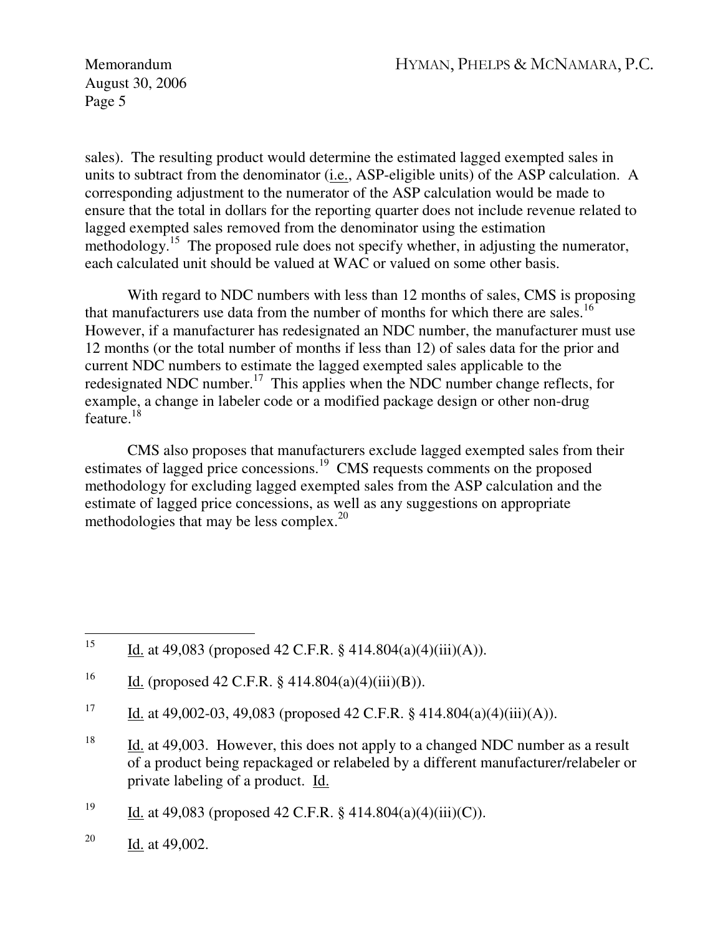Memorandum HYMAN, PHELPS & MCNAMARA, P.C.

August 30, 2006 Page 5

sales). The resulting product would determine the estimated lagged exempted sales in units to subtract from the denominator (i.e., ASP-eligible units) of the ASP calculation. A corresponding adjustment to the numerator of the ASP calculation would be made to ensure that the total in dollars for the reporting quarter does not include revenue related to lagged exempted sales removed from the denominator using the estimation methodology.<sup>15</sup> The proposed rule does not specify whether, in adjusting the numerator, each calculated unit should be valued at WAC or valued on some other basis.

With regard to NDC numbers with less than 12 months of sales, CMS is proposing that manufacturers use data from the number of months for which there are sales.<sup>16</sup> However, if a manufacturer has redesignated an NDC number, the manufacturer must use 12 months (or the total number of months if less than 12) of sales data for the prior and current NDC numbers to estimate the lagged exempted sales applicable to the redesignated NDC number.<sup>17</sup> This applies when the NDC number change reflects, for example, a change in labeler code or a modified package design or other non-drug feature. $^{18}$ 

CMS also proposes that manufacturers exclude lagged exempted sales from their estimates of lagged price concessions.<sup>19</sup> CMS requests comments on the proposed methodology for excluding lagged exempted sales from the ASP calculation and the estimate of lagged price concessions, as well as any suggestions on appropriate methodologies that may be less complex.<sup>20</sup>

 $15<sup>15</sup>$ Id. at 49,083 (proposed 42 C.F.R. § 414.804(a)(4)(iii)(A)).

<sup>&</sup>lt;sup>16</sup> Id. (proposed 42 C.F.R. § 414.804(a)(4)(iii)(B)).

<sup>&</sup>lt;sup>17</sup> Id. at 49,002-03, 49,083 (proposed 42 C.F.R. § 414.804(a)(4)(iii)(A)).

<sup>&</sup>lt;sup>18</sup> Id. at 49,003. However, this does not apply to a changed NDC number as a result of a product being repackaged or relabeled by a different manufacturer/relabeler or private labeling of a product. Id.

<sup>&</sup>lt;sup>19</sup> Id. at 49,083 (proposed 42 C.F.R. § 414.804(a)(4)(iii)(C)).

<sup>&</sup>lt;sup>20</sup> Id. at 49,002.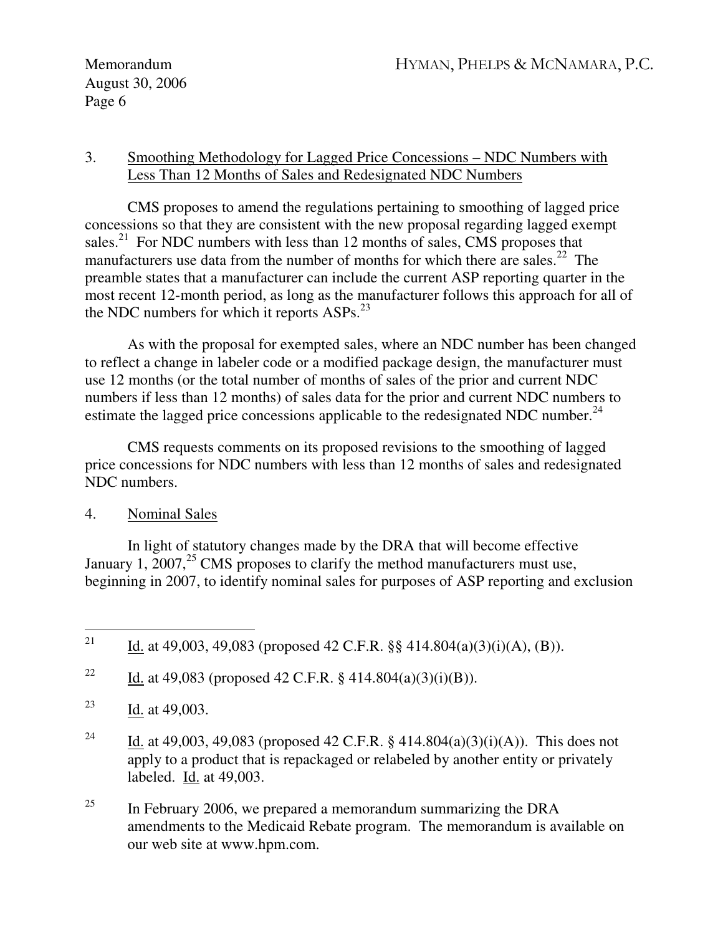### 3. Smoothing Methodology for Lagged Price Concessions – NDC Numbers with Less Than 12 Months of Sales and Redesignated NDC Numbers

CMS proposes to amend the regulations pertaining to smoothing of lagged price concessions so that they are consistent with the new proposal regarding lagged exempt sales.<sup>21</sup> For NDC numbers with less than 12 months of sales, CMS proposes that manufacturers use data from the number of months for which there are sales.<sup>22</sup> The preamble states that a manufacturer can include the current ASP reporting quarter in the most recent 12-month period, as long as the manufacturer follows this approach for all of the NDC numbers for which it reports ASPs.<sup>23</sup>

As with the proposal for exempted sales, where an NDC number has been changed to reflect a change in labeler code or a modified package design, the manufacturer must use 12 months (or the total number of months of sales of the prior and current NDC numbers if less than 12 months) of sales data for the prior and current NDC numbers to estimate the lagged price concessions applicable to the redesignated NDC number.<sup>24</sup>

CMS requests comments on its proposed revisions to the smoothing of lagged price concessions for NDC numbers with less than 12 months of sales and redesignated NDC numbers.

# 4. Nominal Sales

In light of statutory changes made by the DRA that will become effective January 1,  $2007<sup>25</sup>$  CMS proposes to clarify the method manufacturers must use, beginning in 2007, to identify nominal sales for purposes of ASP reporting and exclusion

<sup>22</sup> Id. at 49,083 (proposed 42 C.F.R. § 414.804(a)(3)(i)(B)).

- <sup>23</sup> Id. at 49,003.
- <sup>24</sup> Id. at 49,003, 49,083 (proposed 42 C.F.R. § 414.804(a)(3)(i)(A)). This does not apply to a product that is repackaged or relabeled by another entity or privately labeled. Id. at 49,003.
- <sup>25</sup> In February 2006, we prepared a memorandum summarizing the DRA amendments to the Medicaid Rebate program. The memorandum is available on our web site at www.hpm.com.

<sup>21</sup> Id. at 49,003, 49,083 (proposed 42 C.F.R.  $\S$ § 414.804(a)(3)(i)(A), (B)).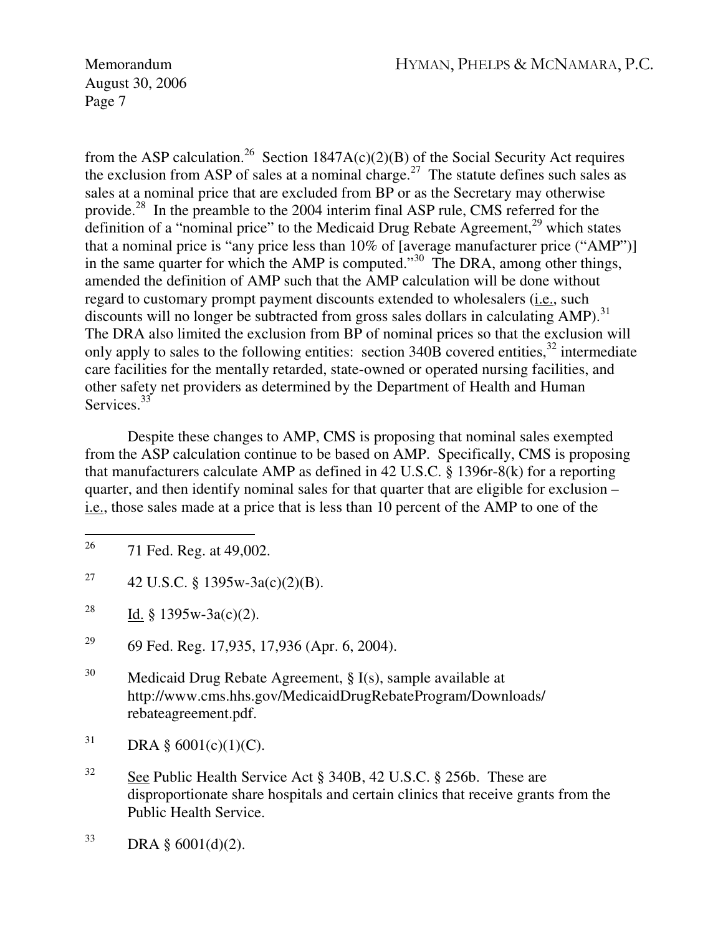Memorandum HYMAN, PHELPS & MCNAMARA, P.C.

August 30, 2006 Page 7

from the ASP calculation.<sup>26</sup> Section 1847A(c)(2)(B) of the Social Security Act requires the exclusion from ASP of sales at a nominal charge.<sup>27</sup> The statute defines such sales as sales at a nominal price that are excluded from BP or as the Secretary may otherwise provide.<sup>28</sup> In the preamble to the 2004 interim final ASP rule, CMS referred for the definition of a "nominal price" to the Medicaid Drug Rebate Agreement, $^{29}$  which states that a nominal price is "any price less than 10% of [average manufacturer price ("AMP")] in the same quarter for which the AMP is computed." $30\degree$  The DRA, among other things, amended the definition of AMP such that the AMP calculation will be done without regard to customary prompt payment discounts extended to wholesalers (i.e., such discounts will no longer be subtracted from gross sales dollars in calculating AMP).<sup>31</sup> The DRA also limited the exclusion from BP of nominal prices so that the exclusion will only apply to sales to the following entities: section  $340\overline{B}$  covered entities,  $32$  intermediate care facilities for the mentally retarded, state-owned or operated nursing facilities, and other safety net providers as determined by the Department of Health and Human Services.<sup>33</sup>

Despite these changes to AMP, CMS is proposing that nominal sales exempted from the ASP calculation continue to be based on AMP. Specifically, CMS is proposing that manufacturers calculate AMP as defined in 42 U.S.C. § 1396r-8(k) for a reporting quarter, and then identify nominal sales for that quarter that are eligible for exclusion – i.e., those sales made at a price that is less than 10 percent of the AMP to one of the

- <sup>27</sup> 42 U.S.C. § 1395w-3a(c)(2)(B).
- <sup>28</sup> Id. § 1395w-3a(c)(2).
- <sup>29</sup> 69 Fed. Reg. 17,935, 17,936 (Apr. 6, 2004).
- <sup>30</sup> Medicaid Drug Rebate Agreement, § I(s), sample available at http://www.cms.hhs.gov/MedicaidDrugRebateProgram/Downloads/ rebateagreement.pdf.
- $31$  DRA § 6001(c)(1)(C).
- <sup>32</sup> See Public Health Service Act § 340B, 42 U.S.C. § 256b. These are disproportionate share hospitals and certain clinics that receive grants from the Public Health Service.
- $33$  DRA § 6001(d)(2).

<sup>26</sup> 71 Fed. Reg. at 49,002.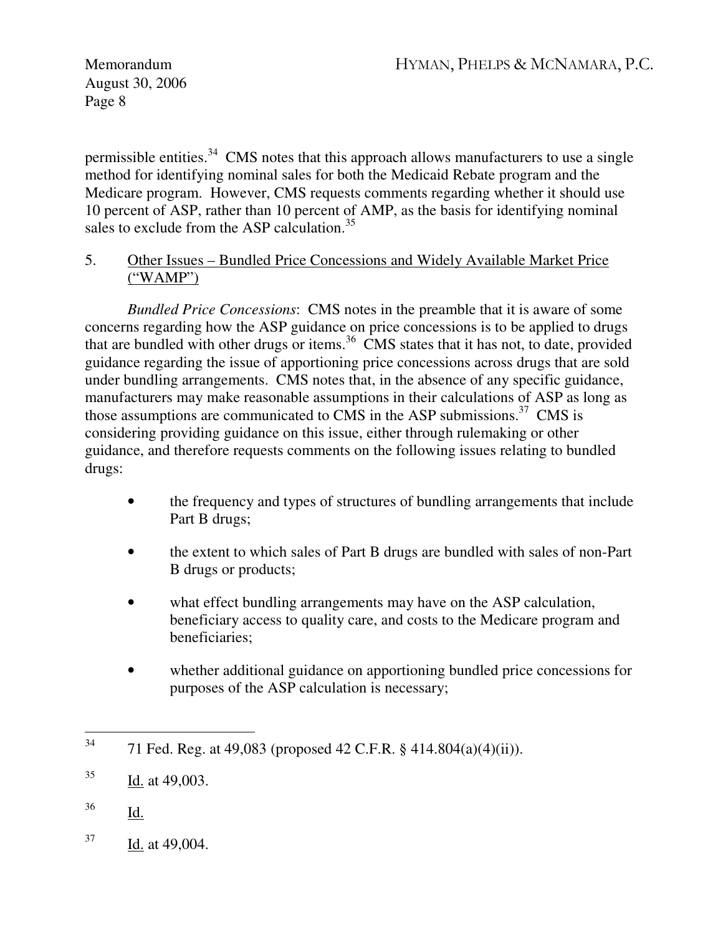permissible entities.<sup>34</sup> CMS notes that this approach allows manufacturers to use a single method for identifying nominal sales for both the Medicaid Rebate program and the Medicare program. However, CMS requests comments regarding whether it should use 10 percent of ASP, rather than 10 percent of AMP, as the basis for identifying nominal sales to exclude from the ASP calculation.<sup>35</sup>

### 5. Other Issues – Bundled Price Concessions and Widely Available Market Price ("WAMP")

*Bundled Price Concessions*: CMS notes in the preamble that it is aware of some concerns regarding how the ASP guidance on price concessions is to be applied to drugs that are bundled with other drugs or items.<sup>36</sup> CMS states that it has not, to date, provided guidance regarding the issue of apportioning price concessions across drugs that are sold under bundling arrangements. CMS notes that, in the absence of any specific guidance, manufacturers may make reasonable assumptions in their calculations of ASP as long as those assumptions are communicated to CMS in the ASP submissions. $37$  CMS is considering providing guidance on this issue, either through rulemaking or other guidance, and therefore requests comments on the following issues relating to bundled drugs:

- the frequency and types of structures of bundling arrangements that include Part B drugs;
- the extent to which sales of Part B drugs are bundled with sales of non-Part B drugs or products;
- what effect bundling arrangements may have on the ASP calculation, beneficiary access to quality care, and costs to the Medicare program and beneficiaries;
- whether additional guidance on apportioning bundled price concessions for purposes of the ASP calculation is necessary;

- <sup>36</sup> Id.
- $37$  Id. at 49,004.

<sup>34</sup> <sup>34</sup> 71 Fed. Reg. at 49,083 (proposed 42 C.F.R. § 414.804(a)(4)(ii)).

 $^{35}$  Id. at 49,003.